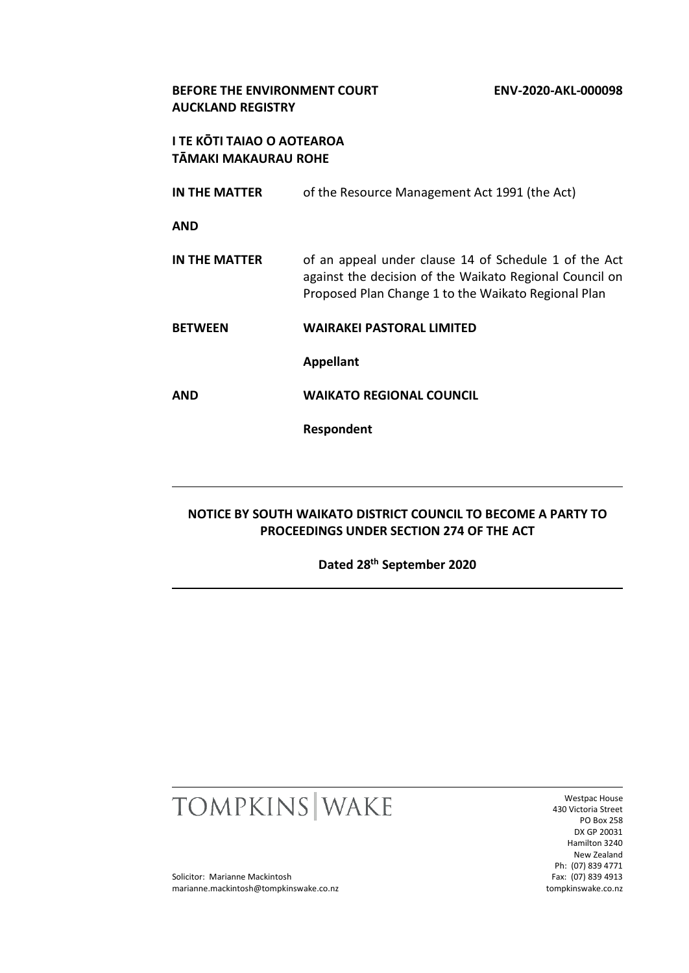## **BEFORE THE ENVIRONMENT COURT ENV-2020-AKL-000098 AUCKLAND REGISTRY**

# **I TE KŌTI TAIAO O AOTEAROA TĀMAKI MAKAURAU ROHE**

**IN THE MATTER** of the Resource Management Act 1991 (the Act)

**AND**

**IN THE MATTER** of an appeal under clause 14 of Schedule 1 of the Act against the decision of the Waikato Regional Council on Proposed Plan Change 1 to the Waikato Regional Plan

**BETWEEN WAIRAKEI PASTORAL LIMITED**

**Appellant**

**AND WAIKATO REGIONAL COUNCIL**

**Respondent**

# **NOTICE BY SOUTH WAIKATO DISTRICT COUNCIL TO BECOME A PARTY TO PROCEEDINGS UNDER SECTION 274 OF THE ACT**

**Dated 28th September 2020**



Westpac House 430 Victoria Street PO Box 258 DX GP 20031 Hamilton 3240 New Zealand Ph: (07) 839 4771 Fax: (07) 839 4913 tompkinswake.co.nz

Solicitor: Marianne Mackintosh marianne.mackintosh@tompkinswake.co.nz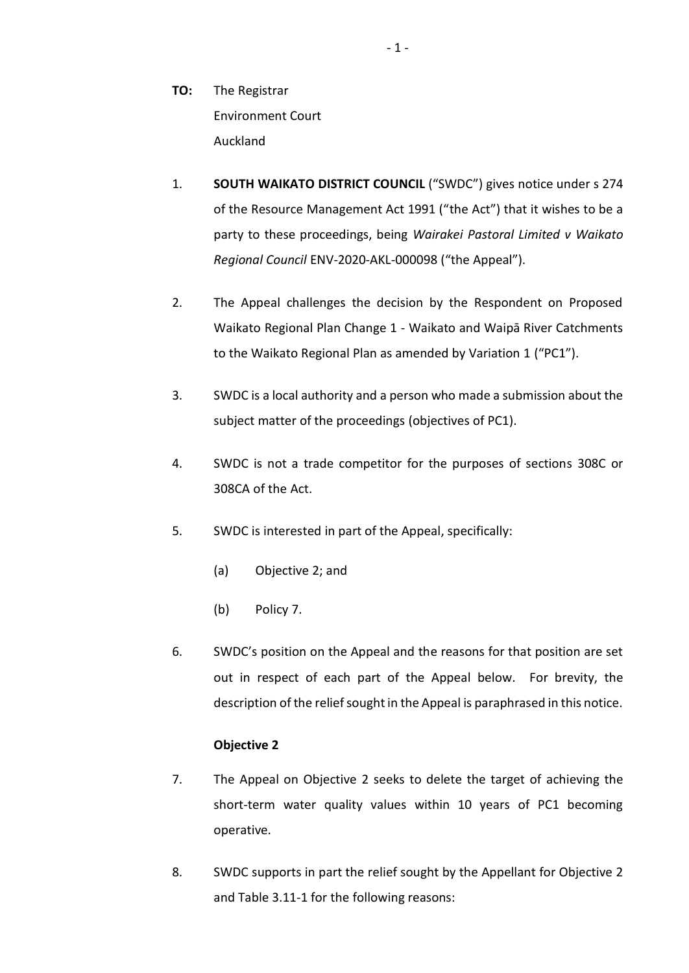- **TO:** The Registrar Environment Court Auckland
- 1. **SOUTH WAIKATO DISTRICT COUNCIL** ("SWDC") gives notice under s 274 of the Resource Management Act 1991 ("the Act") that it wishes to be a party to these proceedings, being *Wairakei Pastoral Limited v Waikato Regional Council* ENV-2020-AKL-000098 ("the Appeal").
- 2. The Appeal challenges the decision by the Respondent on Proposed Waikato Regional Plan Change 1 - Waikato and Waipā River Catchments to the Waikato Regional Plan as amended by Variation 1 ("PC1").
- 3. SWDC is a local authority and a person who made a submission about the subject matter of the proceedings (objectives of PC1).
- 4. SWDC is not a trade competitor for the purposes of sections 308C or 308CA of the Act.
- 5. SWDC is interested in part of the Appeal, specifically:
	- (a) Objective 2; and
	- (b) Policy 7.
- 6. SWDC's position on the Appeal and the reasons for that position are set out in respect of each part of the Appeal below. For brevity, the description of the relief sought in the Appeal is paraphrased in this notice.

# **Objective 2**

- 7. The Appeal on Objective 2 seeks to delete the target of achieving the short-term water quality values within 10 years of PC1 becoming operative.
- 8. SWDC supports in part the relief sought by the Appellant for Objective 2 and Table 3.11-1 for the following reasons: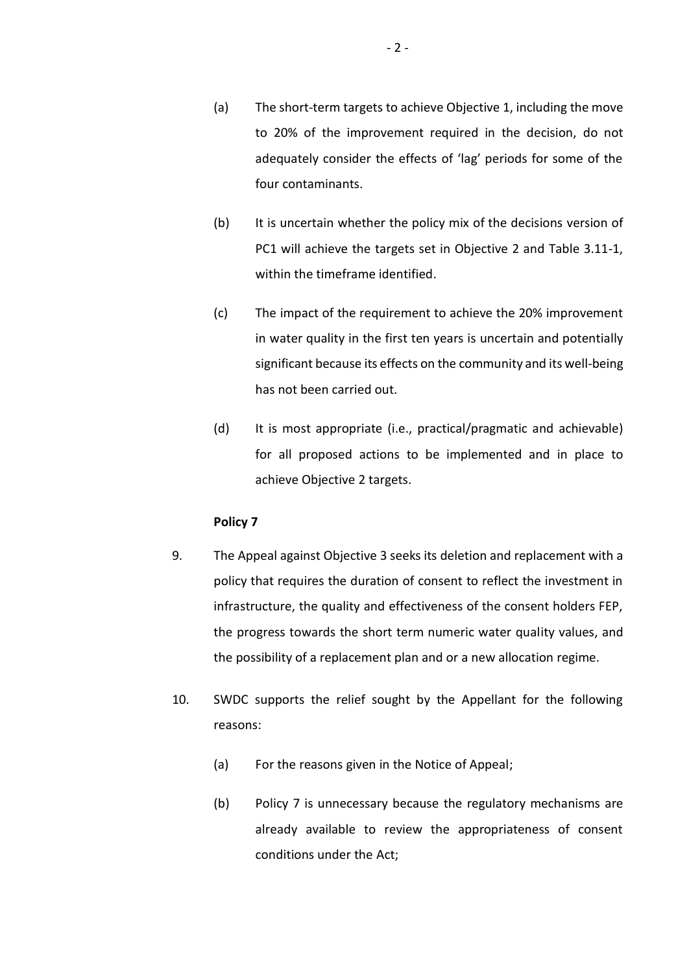- (a) The short-term targets to achieve Objective 1, including the move to 20% of the improvement required in the decision, do not adequately consider the effects of 'lag' periods for some of the four contaminants.
- (b) It is uncertain whether the policy mix of the decisions version of PC1 will achieve the targets set in Objective 2 and Table 3.11-1, within the timeframe identified.
- (c) The impact of the requirement to achieve the 20% improvement in water quality in the first ten years is uncertain and potentially significant because its effects on the community and its well-being has not been carried out.
- (d) It is most appropriate (i.e., practical/pragmatic and achievable) for all proposed actions to be implemented and in place to achieve Objective 2 targets.

### **Policy 7**

- 9. The Appeal against Objective 3 seeks its deletion and replacement with a policy that requires the duration of consent to reflect the investment in infrastructure, the quality and effectiveness of the consent holders FEP, the progress towards the short term numeric water quality values, and the possibility of a replacement plan and or a new allocation regime.
- 10. SWDC supports the relief sought by the Appellant for the following reasons:
	- (a) For the reasons given in the Notice of Appeal;
	- (b) Policy 7 is unnecessary because the regulatory mechanisms are already available to review the appropriateness of consent conditions under the Act;